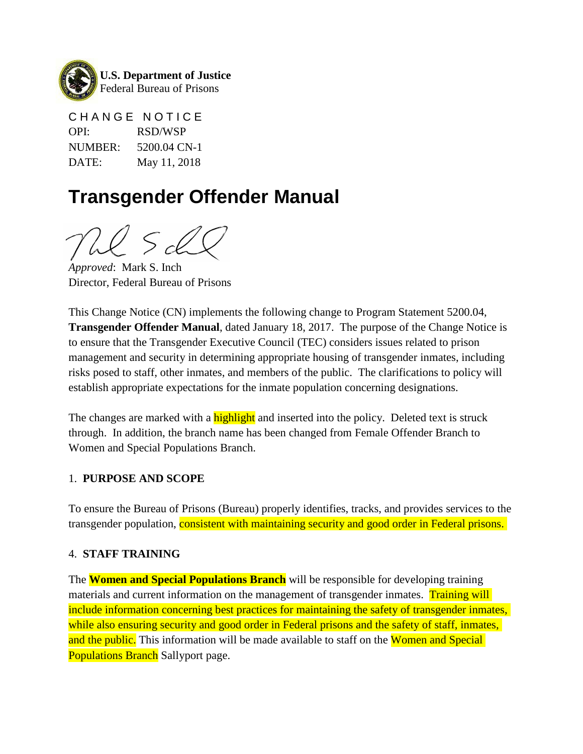

CHANGE NOTICE OPI: RSD/WSP NUMBER: 5200.04 CN-1 DATE: May 11, 2018

# **Transgender Offender Manual**

*Approved*: Mark S. Inch Director, Federal Bureau of Prisons

This Change Notice (CN) implements the following change to Program Statement 5200.04, **Transgender Offender Manual**, dated January 18, 2017. The purpose of the Change Notice is to ensure that the Transgender Executive Council (TEC) considers issues related to prison management and security in determining appropriate housing of transgender inmates, including risks posed to staff, other inmates, and members of the public. The clarifications to policy will establish appropriate expectations for the inmate population concerning designations.

The changes are marked with a **highlight** and inserted into the policy. Deleted text is struck through. In addition, the branch name has been changed from Female Offender Branch to Women and Special Populations Branch.

## 1. **PURPOSE AND SCOPE**

To ensure the Bureau of Prisons (Bureau) properly identifies, tracks, and provides services to the transgender population, consistent with maintaining security and good order in Federal prisons.

## 4. **STAFF TRAINING**

The **Women and Special Populations Branch** will be responsible for developing training materials and current information on the management of transgender inmates. Training will include information concerning best practices for maintaining the safety of transgender inmates, while also ensuring security and good order in Federal prisons and the safety of staff, inmates, and the public. This information will be made available to staff on the Women and Special **Populations Branch** Sallyport page.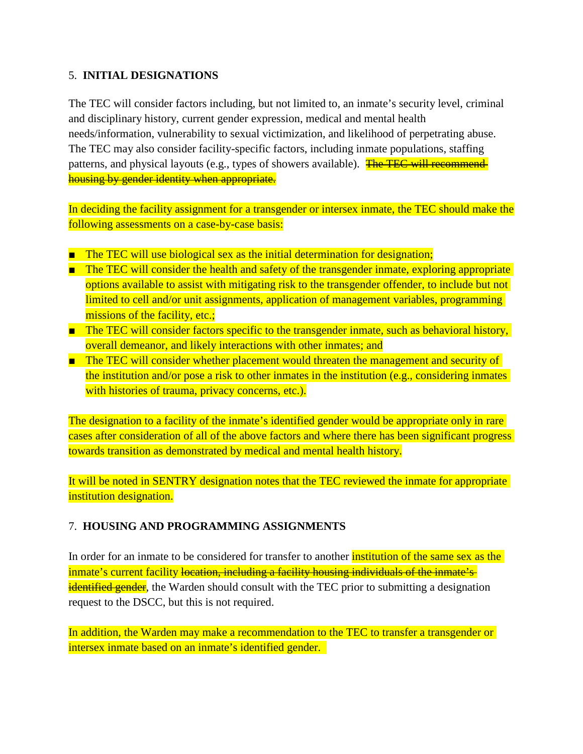# 5. **INITIAL DESIGNATIONS**

The TEC will consider factors including, but not limited to, an inmate's security level, criminal and disciplinary history, current gender expression, medical and mental health needs/information, vulnerability to sexual victimization, and likelihood of perpetrating abuse. The TEC may also consider facility-specific factors, including inmate populations, staffing patterns, and physical layouts (e.g., types of showers available). The TEC will recommendhousing by gender identity when appropriate.

In deciding the facility assignment for a transgender or intersex inmate, the TEC should make the following assessments on a case-by-case basis:

- The TEC will use biological sex as the initial determination for designation;
- The TEC will consider the health and safety of the transgender inmate, exploring appropriate options available to assist with mitigating risk to the transgender offender, to include but not limited to cell and/or unit assignments, application of management variables, programming missions of the facility, etc.;
- The TEC will consider factors specific to the transgender inmate, such as behavioral history, overall demeanor, and likely interactions with other inmates; and
- The TEC will consider whether placement would threaten the management and security of the institution and/or pose a risk to other inmates in the institution (e.g., considering inmates with histories of trauma, privacy concerns, etc.).

The designation to a facility of the inmate's identified gender would be appropriate only in rare cases after consideration of all of the above factors and where there has been significant progress towards transition as demonstrated by medical and mental health history.

It will be noted in SENTRY designation notes that the TEC reviewed the inmate for appropriate institution designation.

# 7. **HOUSING AND PROGRAMMING ASSIGNMENTS**

In order for an inmate to be considered for transfer to another **institution of the same sex as the** inmate's current facility location, including a facility housing individuals of the inmate's identified gender, the Warden should consult with the TEC prior to submitting a designation request to the DSCC, but this is not required.

In addition, the Warden may make a recommendation to the TEC to transfer a transgender or intersex inmate based on an inmate's identified gender.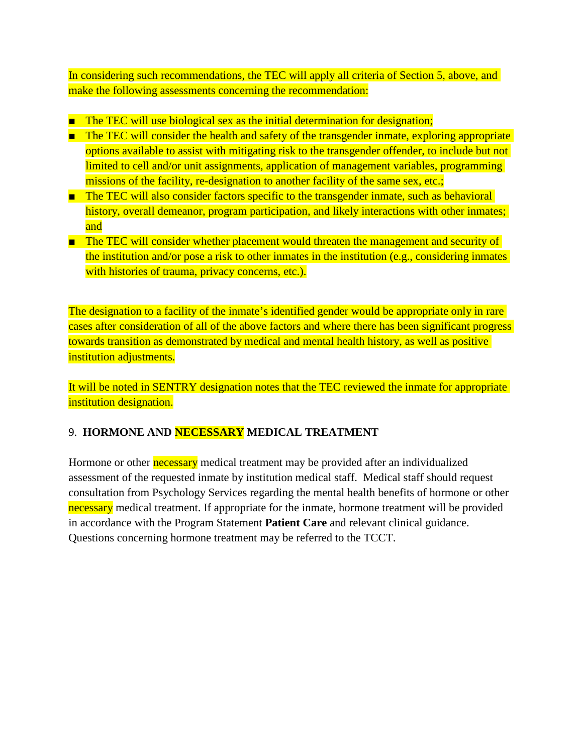In considering such recommendations, the TEC will apply all criteria of Section 5, above, and make the following assessments concerning the recommendation:

- The TEC will use biological sex as the initial determination for designation;
- The TEC will consider the health and safety of the transgender inmate, exploring appropriate options available to assist with mitigating risk to the transgender offender, to include but not limited to cell and/or unit assignments, application of management variables, programming missions of the facility, re-designation to another facility of the same sex, etc.;
- The TEC will also consider factors specific to the transgender inmate, such as behavioral history, overall demeanor, program participation, and likely interactions with other inmates; and
- The TEC will consider whether placement would threaten the management and security of the institution and/or pose a risk to other inmates in the institution (e.g., considering inmates with histories of trauma, privacy concerns, etc.).

The designation to a facility of the inmate's identified gender would be appropriate only in rare cases after consideration of all of the above factors and where there has been significant progress towards transition as demonstrated by medical and mental health history, as well as positive institution adjustments.

It will be noted in SENTRY designation notes that the TEC reviewed the inmate for appropriate institution designation.

# 9. **HORMONE AND NECESSARY MEDICAL TREATMENT**

Hormone or other necessary medical treatment may be provided after an individualized assessment of the requested inmate by institution medical staff. Medical staff should request consultation from Psychology Services regarding the mental health benefits of hormone or other necessary medical treatment. If appropriate for the inmate, hormone treatment will be provided in accordance with the Program Statement **Patient Care** and relevant clinical guidance. Questions concerning hormone treatment may be referred to the TCCT.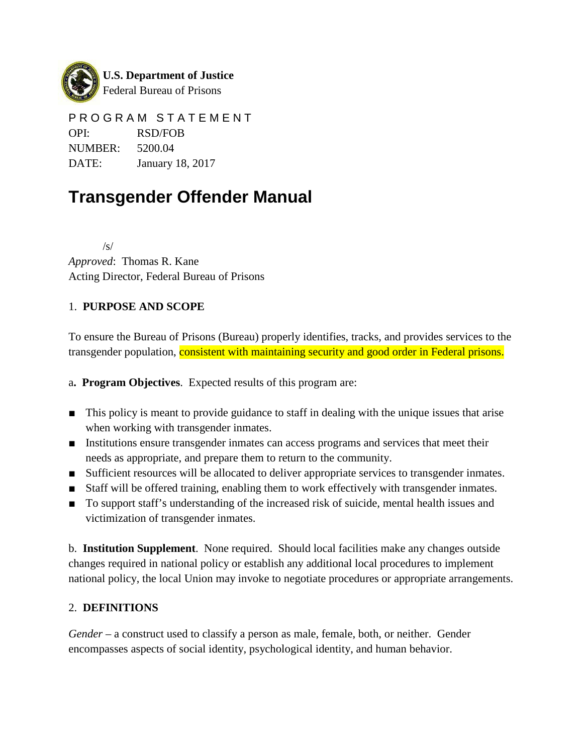

PROGRAM STATEMENT OPI: RSD/FOB NUMBER: 5200.04 DATE: January 18, 2017

# **Transgender Offender Manual**

/s/ *Approved*: Thomas R. Kane Acting Director, Federal Bureau of Prisons

# 1. **PURPOSE AND SCOPE**

To ensure the Bureau of Prisons (Bureau) properly identifies, tracks, and provides services to the transgender population, **consistent with maintaining security and good order in Federal prisons.** 

a**. Program Objectives**. Expected results of this program are:

- This policy is meant to provide guidance to staff in dealing with the unique issues that arise when working with transgender inmates.
- Institutions ensure transgender inmates can access programs and services that meet their needs as appropriate, and prepare them to return to the community.
- Sufficient resources will be allocated to deliver appropriate services to transgender inmates.
- Staff will be offered training, enabling them to work effectively with transgender inmates.
- To support staff's understanding of the increased risk of suicide, mental health issues and victimization of transgender inmates.

b. **Institution Supplement**. None required. Should local facilities make any changes outside changes required in national policy or establish any additional local procedures to implement national policy, the local Union may invoke to negotiate procedures or appropriate arrangements.

# 2. **DEFINITIONS**

*Gender* – a construct used to classify a person as male, female, both, or neither. Gender encompasses aspects of social identity, psychological identity, and human behavior.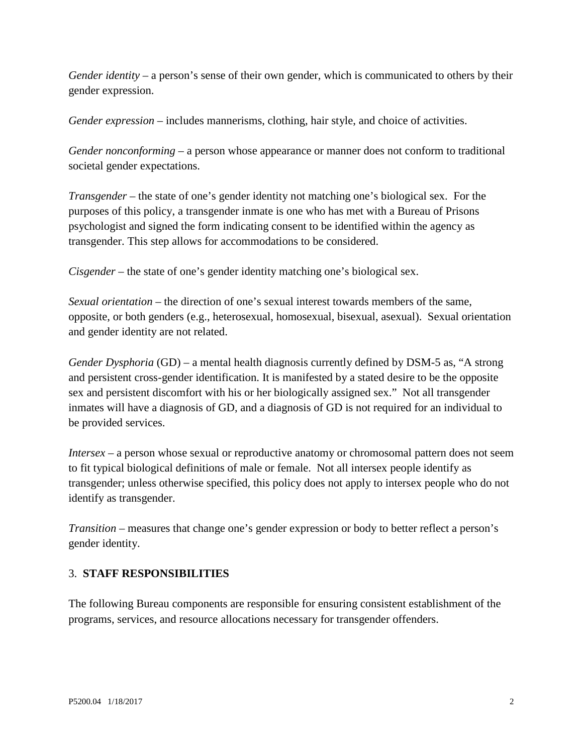*Gender identity* – a person's sense of their own gender, which is communicated to others by their gender expression.

*Gender expression* – includes mannerisms, clothing, hair style, and choice of activities.

*Gender nonconforming* – a person whose appearance or manner does not conform to traditional societal gender expectations.

*Transgender* – the state of one's gender identity not matching one's biological sex. For the purposes of this policy, a transgender inmate is one who has met with a Bureau of Prisons psychologist and signed the form indicating consent to be identified within the agency as transgender. This step allows for accommodations to be considered.

*Cisgender* – the state of one's gender identity matching one's biological sex.

*Sexual orientation* – the direction of one's sexual interest towards members of the same, opposite, or both genders (e.g., heterosexual, homosexual, bisexual, asexual). Sexual orientation and gender identity are not related.

*Gender Dysphoria* (GD) – a mental health diagnosis currently defined by DSM-5 as, "A strong and persistent cross-gender identification. It is manifested by a stated desire to be the opposite sex and persistent discomfort with his or her biologically assigned sex." Not all transgender inmates will have a diagnosis of GD, and a diagnosis of GD is not required for an individual to be provided services.

*Intersex* – a person whose sexual or reproductive anatomy or chromosomal pattern does not seem to fit typical biological definitions of male or female. Not all intersex people identify as transgender; unless otherwise specified, this policy does not apply to intersex people who do not identify as transgender.

*Transition* – measures that change one's gender expression or body to better reflect a person's gender identity.

## 3. **STAFF RESPONSIBILITIES**

The following Bureau components are responsible for ensuring consistent establishment of the programs, services, and resource allocations necessary for transgender offenders.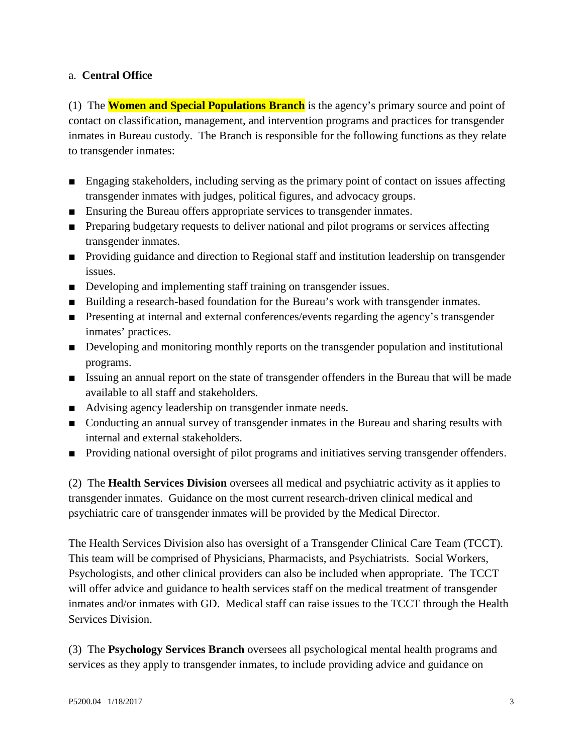## a. **Central Office**

(1) The **Women and Special Populations Branch** is the agency's primary source and point of contact on classification, management, and intervention programs and practices for transgender inmates in Bureau custody. The Branch is responsible for the following functions as they relate to transgender inmates:

- Engaging stakeholders, including serving as the primary point of contact on issues affecting transgender inmates with judges, political figures, and advocacy groups.
- Ensuring the Bureau offers appropriate services to transgender inmates.
- Preparing budgetary requests to deliver national and pilot programs or services affecting transgender inmates.
- Providing guidance and direction to Regional staff and institution leadership on transgender issues.
- Developing and implementing staff training on transgender issues.
- Building a research-based foundation for the Bureau's work with transgender inmates.
- Presenting at internal and external conferences/events regarding the agency's transgender inmates' practices.
- Developing and monitoring monthly reports on the transgender population and institutional programs.
- Issuing an annual report on the state of transgender offenders in the Bureau that will be made available to all staff and stakeholders.
- Advising agency leadership on transgender inmate needs.
- Conducting an annual survey of transgender inmates in the Bureau and sharing results with internal and external stakeholders.
- Providing national oversight of pilot programs and initiatives serving transgender offenders.

(2) The **Health Services Division** oversees all medical and psychiatric activity as it applies to transgender inmates. Guidance on the most current research-driven clinical medical and psychiatric care of transgender inmates will be provided by the Medical Director.

The Health Services Division also has oversight of a Transgender Clinical Care Team (TCCT). This team will be comprised of Physicians, Pharmacists, and Psychiatrists. Social Workers, Psychologists, and other clinical providers can also be included when appropriate. The TCCT will offer advice and guidance to health services staff on the medical treatment of transgender inmates and/or inmates with GD. Medical staff can raise issues to the TCCT through the Health Services Division.

(3) The **Psychology Services Branch** oversees all psychological mental health programs and services as they apply to transgender inmates, to include providing advice and guidance on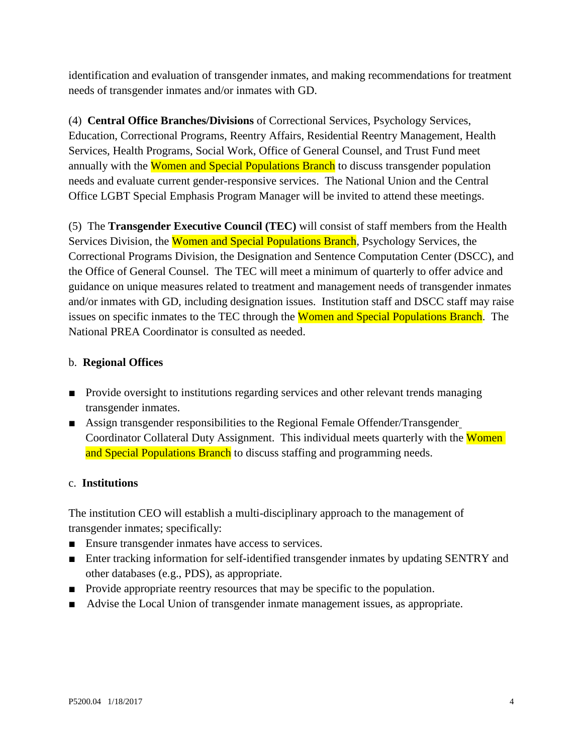identification and evaluation of transgender inmates, and making recommendations for treatment needs of transgender inmates and/or inmates with GD.

(4) **Central Office Branches/Divisions** of Correctional Services, Psychology Services, Education, Correctional Programs, Reentry Affairs, Residential Reentry Management, Health Services, Health Programs, Social Work, Office of General Counsel, and Trust Fund meet annually with the Women and Special Populations Branch to discuss transgender population needs and evaluate current gender-responsive services. The National Union and the Central Office LGBT Special Emphasis Program Manager will be invited to attend these meetings.

(5) The **Transgender Executive Council (TEC)** will consist of staff members from the Health Services Division, the Women and Special Populations Branch, Psychology Services, the Correctional Programs Division, the Designation and Sentence Computation Center (DSCC), and the Office of General Counsel. The TEC will meet a minimum of quarterly to offer advice and guidance on unique measures related to treatment and management needs of transgender inmates and/or inmates with GD, including designation issues. Institution staff and DSCC staff may raise issues on specific inmates to the TEC through the Women and Special Populations Branch. The National PREA Coordinator is consulted as needed.

## b. **Regional Offices**

- Provide oversight to institutions regarding services and other relevant trends managing transgender inmates.
- Assign transgender responsibilities to the Regional Female Offender/Transgender Coordinator Collateral Duty Assignment. This individual meets quarterly with the Women and Special Populations Branch to discuss staffing and programming needs.

### c. **Institutions**

The institution CEO will establish a multi-disciplinary approach to the management of transgender inmates; specifically:

- Ensure transgender inmates have access to services.
- Enter tracking information for self-identified transgender inmates by updating SENTRY and other databases (e.g., PDS), as appropriate.
- Provide appropriate reentry resources that may be specific to the population.
- Advise the Local Union of transgender inmate management issues, as appropriate.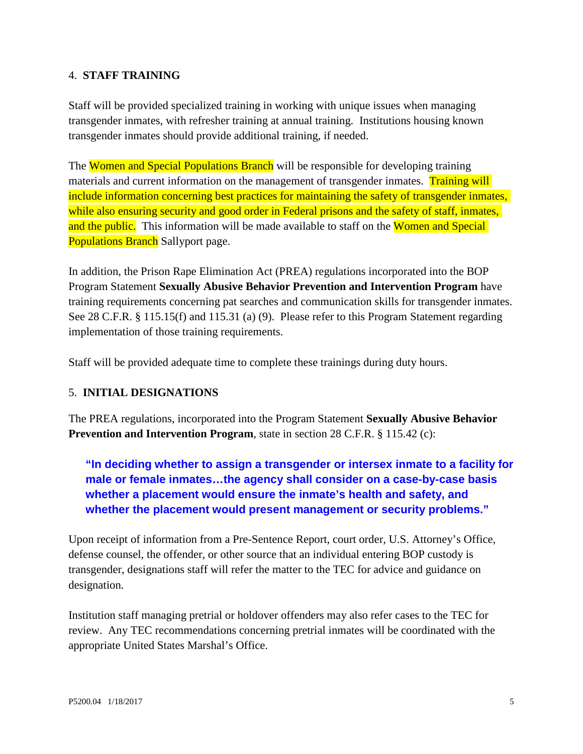## 4. **STAFF TRAINING**

Staff will be provided specialized training in working with unique issues when managing transgender inmates, with refresher training at annual training. Institutions housing known transgender inmates should provide additional training, if needed.

The Women and Special Populations Branch will be responsible for developing training materials and current information on the management of transgender inmates. Training will include information concerning best practices for maintaining the safety of transgender inmates, while also ensuring security and good order in Federal prisons and the safety of staff, inmates, and the public. This information will be made available to staff on the Women and Special **Populations Branch** Sallyport page.

In addition, the Prison Rape Elimination Act (PREA) regulations incorporated into the BOP Program Statement **Sexually Abusive Behavior Prevention and Intervention Program** have training requirements concerning pat searches and communication skills for transgender inmates. See 28 C.F.R. § 115.15(f) and 115.31 (a) (9). Please refer to this Program Statement regarding implementation of those training requirements.

Staff will be provided adequate time to complete these trainings during duty hours.

### 5. **INITIAL DESIGNATIONS**

The PREA regulations, incorporated into the Program Statement **Sexually Abusive Behavior Prevention and Intervention Program**, state in section 28 C.F.R. § 115.42 (c):

**"In deciding whether to assign a transgender or intersex inmate to a facility for male or female inmates…the agency shall consider on a case-by-case basis whether a placement would ensure the inmate's health and safety, and whether the placement would present management or security problems."** 

Upon receipt of information from a Pre-Sentence Report, court order, U.S. Attorney's Office, defense counsel, the offender, or other source that an individual entering BOP custody is transgender, designations staff will refer the matter to the TEC for advice and guidance on designation.

Institution staff managing pretrial or holdover offenders may also refer cases to the TEC for review. Any TEC recommendations concerning pretrial inmates will be coordinated with the appropriate United States Marshal's Office.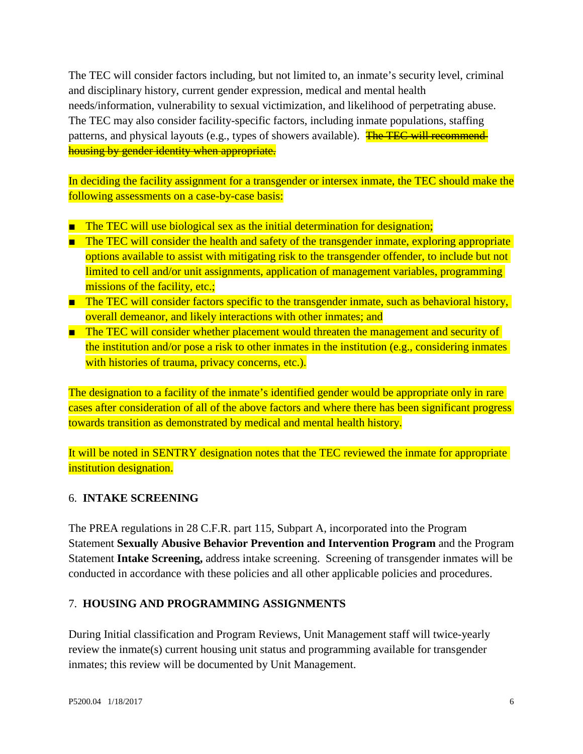The TEC will consider factors including, but not limited to, an inmate's security level, criminal and disciplinary history, current gender expression, medical and mental health needs/information, vulnerability to sexual victimization, and likelihood of perpetrating abuse. The TEC may also consider facility-specific factors, including inmate populations, staffing patterns, and physical layouts (e.g., types of showers available). The TEC will recommendhousing by gender identity when appropriate.

In deciding the facility assignment for a transgender or intersex inmate, the TEC should make the following assessments on a case-by-case basis:

- The TEC will use biological sex as the initial determination for designation;
- The TEC will consider the health and safety of the transgender inmate, exploring appropriate options available to assist with mitigating risk to the transgender offender, to include but not limited to cell and/or unit assignments, application of management variables, programming missions of the facility, etc.;
- The TEC will consider factors specific to the transgender inmate, such as behavioral history, overall demeanor, and likely interactions with other inmates; and
- The TEC will consider whether placement would threaten the management and security of the institution and/or pose a risk to other inmates in the institution (e.g., considering inmates with histories of trauma, privacy concerns, etc.).

The designation to a facility of the inmate's identified gender would be appropriate only in rare cases after consideration of all of the above factors and where there has been significant progress towards transition as demonstrated by medical and mental health history.

It will be noted in SENTRY designation notes that the TEC reviewed the inmate for appropriate institution designation.

## 6. **INTAKE SCREENING**

The PREA regulations in 28 C.F.R. part 115, Subpart A, incorporated into the Program Statement **Sexually Abusive Behavior Prevention and Intervention Program** and the Program Statement **Intake Screening,** address intake screening. Screening of transgender inmates will be conducted in accordance with these policies and all other applicable policies and procedures.

## 7. **HOUSING AND PROGRAMMING ASSIGNMENTS**

During Initial classification and Program Reviews, Unit Management staff will twice-yearly review the inmate(s) current housing unit status and programming available for transgender inmates; this review will be documented by Unit Management.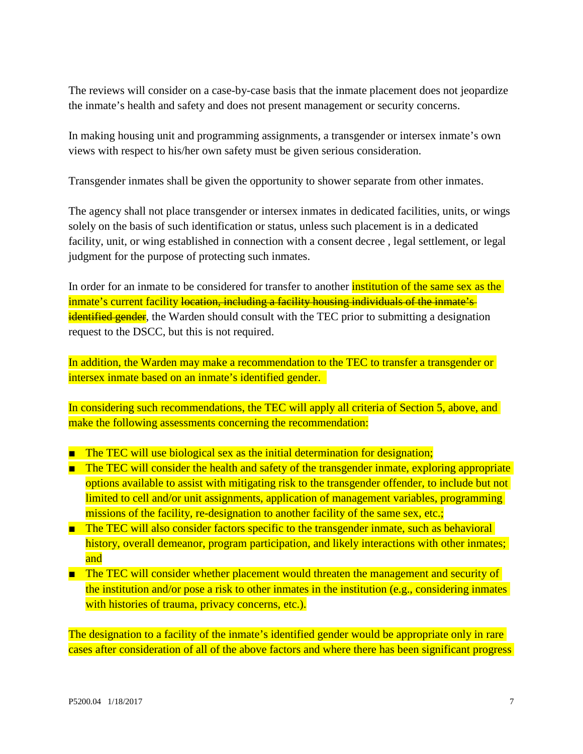The reviews will consider on a case-by-case basis that the inmate placement does not jeopardize the inmate's health and safety and does not present management or security concerns.

In making housing unit and programming assignments, a transgender or intersex inmate's own views with respect to his/her own safety must be given serious consideration.

Transgender inmates shall be given the opportunity to shower separate from other inmates.

The agency shall not place transgender or intersex inmates in dedicated facilities, units, or wings solely on the basis of such identification or status, unless such placement is in a dedicated facility, unit, or wing established in connection with a consent decree , legal settlement, or legal judgment for the purpose of protecting such inmates.

In order for an inmate to be considered for transfer to another **institution of the same sex as the** inmate's current facility location, including a facility housing individuals of the inmate's identified gender, the Warden should consult with the TEC prior to submitting a designation request to the DSCC, but this is not required.

In addition, the Warden may make a recommendation to the TEC to transfer a transgender or intersex inmate based on an inmate's identified gender.

In considering such recommendations, the TEC will apply all criteria of Section 5, above, and make the following assessments concerning the recommendation:

- The TEC will use biological sex as the initial determination for designation;
- The TEC will consider the health and safety of the transgender inmate, exploring appropriate options available to assist with mitigating risk to the transgender offender, to include but not limited to cell and/or unit assignments, application of management variables, programming missions of the facility, re-designation to another facility of the same sex, etc.;
- The TEC will also consider factors specific to the transgender inmate, such as behavioral history, overall demeanor, program participation, and likely interactions with other inmates; and
- The TEC will consider whether placement would threaten the management and security of the institution and/or pose a risk to other inmates in the institution (e.g., considering inmates with histories of trauma, privacy concerns, etc.).

The designation to a facility of the inmate's identified gender would be appropriate only in rare cases after consideration of all of the above factors and where there has been significant progress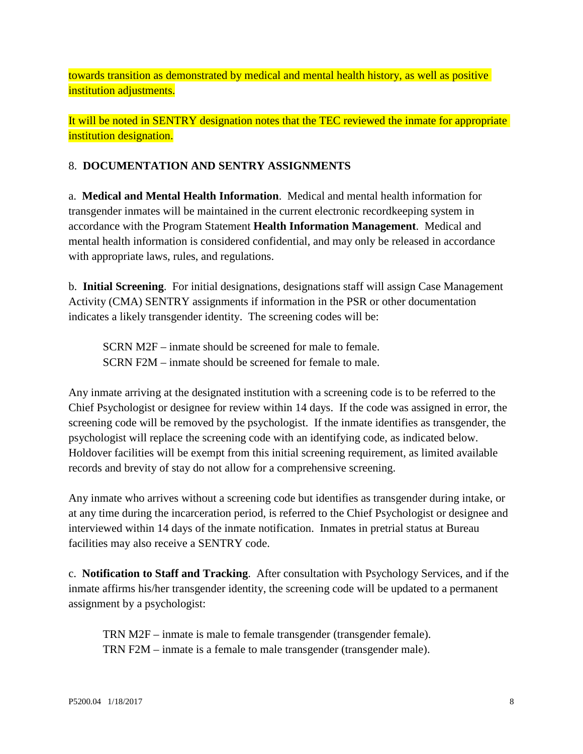towards transition as demonstrated by medical and mental health history, as well as positive institution adjustments.

It will be noted in SENTRY designation notes that the TEC reviewed the inmate for appropriate institution designation.

# 8. **DOCUMENTATION AND SENTRY ASSIGNMENTS**

a. **Medical and Mental Health Information**. Medical and mental health information for transgender inmates will be maintained in the current electronic recordkeeping system in accordance with the Program Statement **Health Information Management**. Medical and mental health information is considered confidential, and may only be released in accordance with appropriate laws, rules, and regulations.

b. **Initial Screening**. For initial designations, designations staff will assign Case Management Activity (CMA) SENTRY assignments if information in the PSR or other documentation indicates a likely transgender identity. The screening codes will be:

SCRN M2F – inmate should be screened for male to female. SCRN F2M – inmate should be screened for female to male.

Any inmate arriving at the designated institution with a screening code is to be referred to the Chief Psychologist or designee for review within 14 days. If the code was assigned in error, the screening code will be removed by the psychologist. If the inmate identifies as transgender, the psychologist will replace the screening code with an identifying code, as indicated below. Holdover facilities will be exempt from this initial screening requirement, as limited available records and brevity of stay do not allow for a comprehensive screening.

Any inmate who arrives without a screening code but identifies as transgender during intake, or at any time during the incarceration period, is referred to the Chief Psychologist or designee and interviewed within 14 days of the inmate notification. Inmates in pretrial status at Bureau facilities may also receive a SENTRY code.

c. **Notification to Staff and Tracking**. After consultation with Psychology Services, and if the inmate affirms his/her transgender identity, the screening code will be updated to a permanent assignment by a psychologist:

TRN M2F – inmate is male to female transgender (transgender female). TRN F2M – inmate is a female to male transgender (transgender male).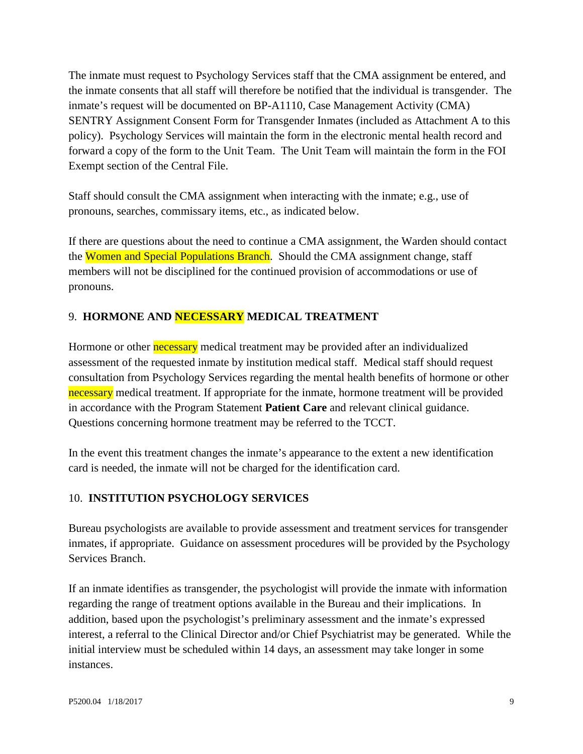The inmate must request to Psychology Services staff that the CMA assignment be entered, and the inmate consents that all staff will therefore be notified that the individual is transgender. The inmate's request will be documented on BP-A1110, Case Management Activity (CMA) SENTRY Assignment Consent Form for Transgender Inmates (included as Attachment A to this policy). Psychology Services will maintain the form in the electronic mental health record and forward a copy of the form to the Unit Team. The Unit Team will maintain the form in the FOI Exempt section of the Central File.

Staff should consult the CMA assignment when interacting with the inmate; e.g., use of pronouns, searches, commissary items, etc., as indicated below.

If there are questions about the need to continue a CMA assignment, the Warden should contact the Women and Special Populations Branch. Should the CMA assignment change, staff members will not be disciplined for the continued provision of accommodations or use of pronouns.

# 9. **HORMONE AND NECESSARY MEDICAL TREATMENT**

Hormone or other **necessary** medical treatment may be provided after an individualized assessment of the requested inmate by institution medical staff. Medical staff should request consultation from Psychology Services regarding the mental health benefits of hormone or other necessary medical treatment. If appropriate for the inmate, hormone treatment will be provided in accordance with the Program Statement **Patient Care** and relevant clinical guidance. Questions concerning hormone treatment may be referred to the TCCT.

In the event this treatment changes the inmate's appearance to the extent a new identification card is needed, the inmate will not be charged for the identification card.

## 10. **INSTITUTION PSYCHOLOGY SERVICES**

Bureau psychologists are available to provide assessment and treatment services for transgender inmates, if appropriate. Guidance on assessment procedures will be provided by the Psychology Services Branch.

If an inmate identifies as transgender, the psychologist will provide the inmate with information regarding the range of treatment options available in the Bureau and their implications. In addition, based upon the psychologist's preliminary assessment and the inmate's expressed interest, a referral to the Clinical Director and/or Chief Psychiatrist may be generated. While the initial interview must be scheduled within 14 days, an assessment may take longer in some instances.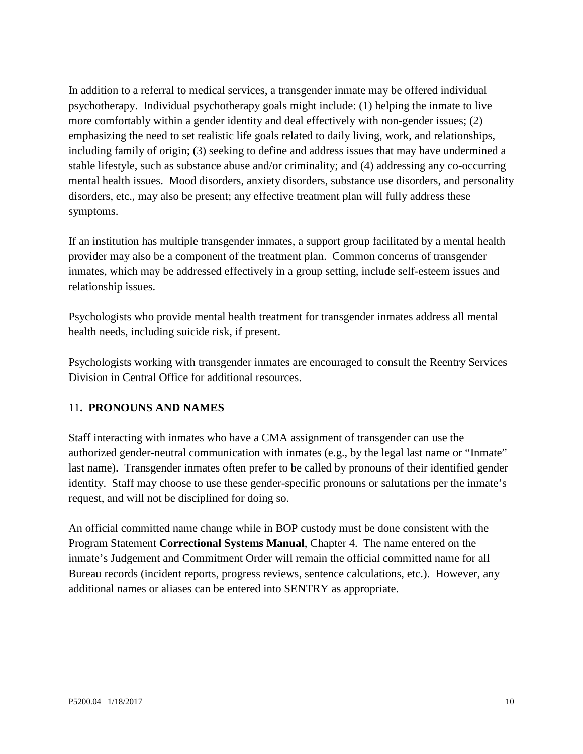In addition to a referral to medical services, a transgender inmate may be offered individual psychotherapy. Individual psychotherapy goals might include: (1) helping the inmate to live more comfortably within a gender identity and deal effectively with non-gender issues; (2) emphasizing the need to set realistic life goals related to daily living, work, and relationships, including family of origin; (3) seeking to define and address issues that may have undermined a stable lifestyle, such as substance abuse and/or criminality; and (4) addressing any co-occurring mental health issues. Mood disorders, anxiety disorders, substance use disorders, and personality disorders, etc., may also be present; any effective treatment plan will fully address these symptoms.

If an institution has multiple transgender inmates, a support group facilitated by a mental health provider may also be a component of the treatment plan. Common concerns of transgender inmates, which may be addressed effectively in a group setting, include self-esteem issues and relationship issues.

Psychologists who provide mental health treatment for transgender inmates address all mental health needs, including suicide risk, if present.

Psychologists working with transgender inmates are encouraged to consult the Reentry Services Division in Central Office for additional resources.

### 11**. PRONOUNS AND NAMES**

Staff interacting with inmates who have a CMA assignment of transgender can use the authorized gender-neutral communication with inmates (e.g., by the legal last name or "Inmate" last name). Transgender inmates often prefer to be called by pronouns of their identified gender identity. Staff may choose to use these gender-specific pronouns or salutations per the inmate's request, and will not be disciplined for doing so.

An official committed name change while in BOP custody must be done consistent with the Program Statement **Correctional Systems Manual**, Chapter 4. The name entered on the inmate's Judgement and Commitment Order will remain the official committed name for all Bureau records (incident reports, progress reviews, sentence calculations, etc.). However, any additional names or aliases can be entered into SENTRY as appropriate.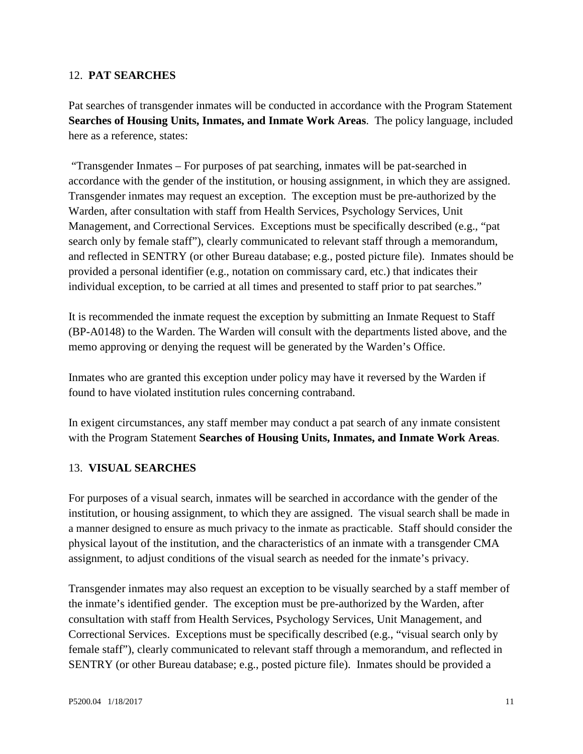#### 12. **PAT SEARCHES**

Pat searches of transgender inmates will be conducted in accordance with the Program Statement **Searches of Housing Units, Inmates, and Inmate Work Areas**. The policy language, included here as a reference, states:

"Transgender Inmates – For purposes of pat searching, inmates will be pat-searched in accordance with the gender of the institution, or housing assignment, in which they are assigned. Transgender inmates may request an exception. The exception must be pre-authorized by the Warden, after consultation with staff from Health Services, Psychology Services, Unit Management, and Correctional Services. Exceptions must be specifically described (e.g., "pat search only by female staff"), clearly communicated to relevant staff through a memorandum, and reflected in SENTRY (or other Bureau database; e.g., posted picture file). Inmates should be provided a personal identifier (e.g., notation on commissary card, etc.) that indicates their individual exception, to be carried at all times and presented to staff prior to pat searches."

It is recommended the inmate request the exception by submitting an Inmate Request to Staff (BP-A0148) to the Warden. The Warden will consult with the departments listed above, and the memo approving or denying the request will be generated by the Warden's Office.

Inmates who are granted this exception under policy may have it reversed by the Warden if found to have violated institution rules concerning contraband.

In exigent circumstances, any staff member may conduct a pat search of any inmate consistent with the Program Statement **Searches of Housing Units, Inmates, and Inmate Work Areas**.

### 13. **VISUAL SEARCHES**

For purposes of a visual search, inmates will be searched in accordance with the gender of the institution, or housing assignment, to which they are assigned. The visual search shall be made in a manner designed to ensure as much privacy to the inmate as practicable. Staff should consider the physical layout of the institution, and the characteristics of an inmate with a transgender CMA assignment, to adjust conditions of the visual search as needed for the inmate's privacy.

Transgender inmates may also request an exception to be visually searched by a staff member of the inmate's identified gender. The exception must be pre-authorized by the Warden, after consultation with staff from Health Services, Psychology Services, Unit Management, and Correctional Services. Exceptions must be specifically described (e.g., "visual search only by female staff"), clearly communicated to relevant staff through a memorandum, and reflected in SENTRY (or other Bureau database; e.g., posted picture file). Inmates should be provided a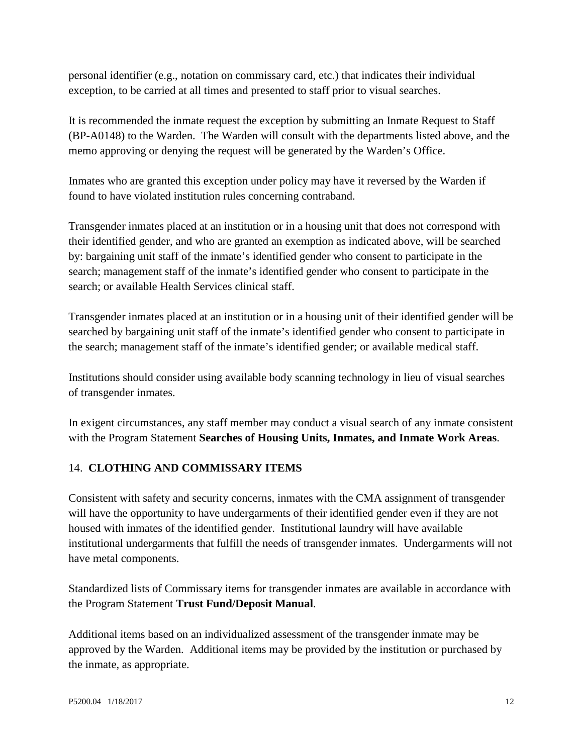personal identifier (e.g., notation on commissary card, etc.) that indicates their individual exception, to be carried at all times and presented to staff prior to visual searches.

It is recommended the inmate request the exception by submitting an Inmate Request to Staff (BP-A0148) to the Warden. The Warden will consult with the departments listed above, and the memo approving or denying the request will be generated by the Warden's Office.

Inmates who are granted this exception under policy may have it reversed by the Warden if found to have violated institution rules concerning contraband.

Transgender inmates placed at an institution or in a housing unit that does not correspond with their identified gender, and who are granted an exemption as indicated above, will be searched by: bargaining unit staff of the inmate's identified gender who consent to participate in the search; management staff of the inmate's identified gender who consent to participate in the search; or available Health Services clinical staff.

Transgender inmates placed at an institution or in a housing unit of their identified gender will be searched by bargaining unit staff of the inmate's identified gender who consent to participate in the search; management staff of the inmate's identified gender; or available medical staff.

Institutions should consider using available body scanning technology in lieu of visual searches of transgender inmates.

In exigent circumstances, any staff member may conduct a visual search of any inmate consistent with the Program Statement **Searches of Housing Units, Inmates, and Inmate Work Areas**.

# 14. **CLOTHING AND COMMISSARY ITEMS**

Consistent with safety and security concerns, inmates with the CMA assignment of transgender will have the opportunity to have undergarments of their identified gender even if they are not housed with inmates of the identified gender. Institutional laundry will have available institutional undergarments that fulfill the needs of transgender inmates. Undergarments will not have metal components.

Standardized lists of Commissary items for transgender inmates are available in accordance with the Program Statement **Trust Fund/Deposit Manual**.

Additional items based on an individualized assessment of the transgender inmate may be approved by the Warden. Additional items may be provided by the institution or purchased by the inmate, as appropriate.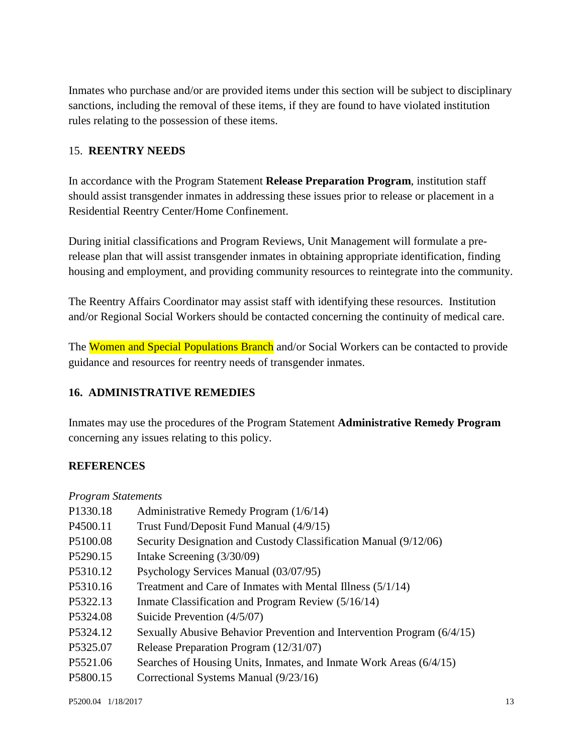Inmates who purchase and/or are provided items under this section will be subject to disciplinary sanctions, including the removal of these items, if they are found to have violated institution rules relating to the possession of these items.

## 15. **REENTRY NEEDS**

In accordance with the Program Statement **Release Preparation Program**, institution staff should assist transgender inmates in addressing these issues prior to release or placement in a Residential Reentry Center/Home Confinement.

During initial classifications and Program Reviews, Unit Management will formulate a prerelease plan that will assist transgender inmates in obtaining appropriate identification, finding housing and employment, and providing community resources to reintegrate into the community.

The Reentry Affairs Coordinator may assist staff with identifying these resources. Institution and/or Regional Social Workers should be contacted concerning the continuity of medical care.

The Women and Special Populations Branch and/or Social Workers can be contacted to provide guidance and resources for reentry needs of transgender inmates.

## **16. ADMINISTRATIVE REMEDIES**

Inmates may use the procedures of the Program Statement **Administrative Remedy Program** concerning any issues relating to this policy.

### **REFERENCES**

|  | <b>Program Statements</b> |
|--|---------------------------|
|--|---------------------------|

| P1330.18 | Administrative Remedy Program (1/6/14)                                 |
|----------|------------------------------------------------------------------------|
| P4500.11 | Trust Fund/Deposit Fund Manual (4/9/15)                                |
| P5100.08 | Security Designation and Custody Classification Manual (9/12/06)       |
| P5290.15 | Intake Screening (3/30/09)                                             |
| P5310.12 | Psychology Services Manual (03/07/95)                                  |
| P5310.16 | Treatment and Care of Inmates with Mental Illness (5/1/14)             |
| P5322.13 | Inmate Classification and Program Review (5/16/14)                     |
| P5324.08 | Suicide Prevention $(4/5/07)$                                          |
| P5324.12 | Sexually Abusive Behavior Prevention and Intervention Program (6/4/15) |
| P5325.07 | Release Preparation Program (12/31/07)                                 |
| P5521.06 | Searches of Housing Units, Inmates, and Inmate Work Areas (6/4/15)     |
| P5800.15 | Correctional Systems Manual (9/23/16)                                  |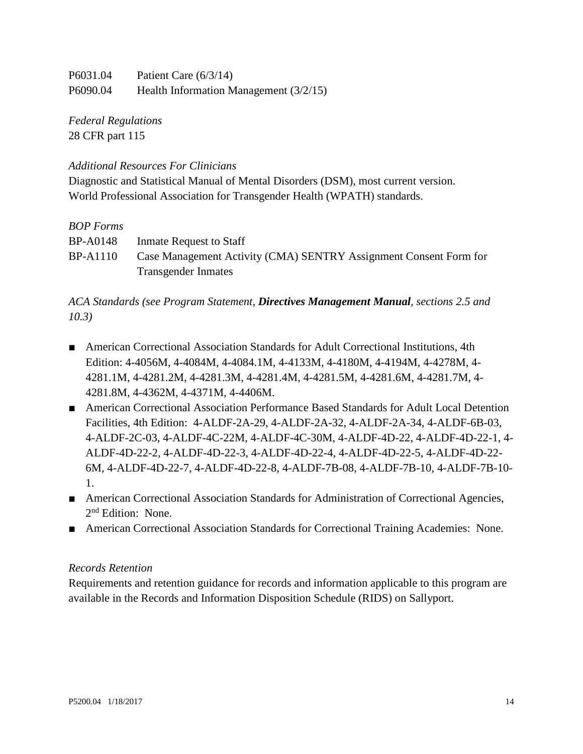| P6031.04 | Patient Care $(6/3/14)$                  |
|----------|------------------------------------------|
| P6090.04 | Health Information Management $(3/2/15)$ |

*Federal Regulations* 28 CFR part 115

## *Additional Resources For Clinicians*

Diagnostic and Statistical Manual of Mental Disorders (DSM), most current version. World Professional Association for Transgender Health (WPATH) standards.

### *BOP Forms*

| <b>BP-A0148</b> | Inmate Request to Staff                                           |
|-----------------|-------------------------------------------------------------------|
| <b>BP-A1110</b> | Case Management Activity (CMA) SENTRY Assignment Consent Form for |
|                 | <b>Transgender Inmates</b>                                        |

# *ACA Standards (see Program Statement, Directives Management Manual, sections 2.5 and 10.3)*

- American Correctional Association Standards for Adult Correctional Institutions, 4th Edition: 4-4056M, 4-4084M, 4-4084.1M, 4-4133M, 4-4180M, 4-4194M, 4-4278M, 4- 4281.1M, 4-4281.2M, 4-4281.3M, 4-4281.4M, 4-4281.5M, 4-4281.6M, 4-4281.7M, 4- 4281.8M, 4-4362M, 4-4371M, 4-4406M.
- American Correctional Association Performance Based Standards for Adult Local Detention Facilities, 4th Edition: 4-ALDF-2A-29, 4-ALDF-2A-32, 4-ALDF-2A-34, 4-ALDF-6B-03, 4-ALDF-2C-03, 4-ALDF-4C-22M, 4-ALDF-4C-30M, 4-ALDF-4D-22, 4-ALDF-4D-22-1, 4- ALDF-4D-22-2, 4-ALDF-4D-22-3, 4-ALDF-4D-22-4, 4-ALDF-4D-22-5, 4-ALDF-4D-22- 6M, 4-ALDF-4D-22-7, 4-ALDF-4D-22-8, 4-ALDF-7B-08, 4-ALDF-7B-10, 4-ALDF-7B-10- 1.
- American Correctional Association Standards for Administration of Correctional Agencies, 2<sup>nd</sup> Edition: None.
- American Correctional Association Standards for Correctional Training Academies: None.

### *Records Retention*

Requirements and retention guidance for records and information applicable to this program are available in the Records and Information Disposition Schedule (RIDS) on Sallyport.